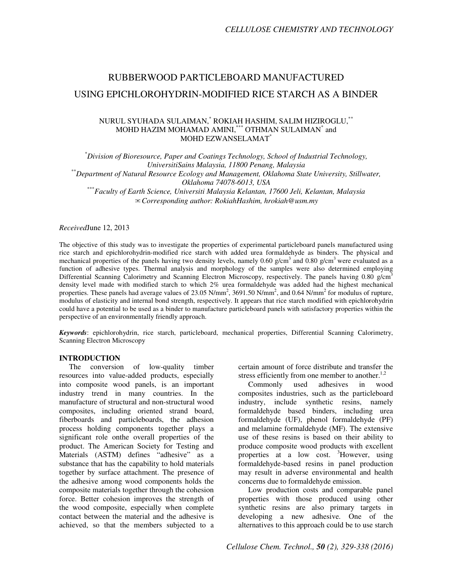# RUBBERWOOD PARTICLEBOARD MANUFACTURED USING EPICHLOROHYDRIN-MODIFIED RICE STARCH AS A BINDER

## NURUL SYUHADA SULAIMAN,\* ROKIAH HASHIM, SALIM HIZIROGLU,\*\* MOHD HAZIM MOHAMAD AMINI,\*\*\* OTHMAN SULAIMAN<sup>\*</sup> and MOHD EZWANSELAMAT\*

\**Division of Bioresource, Paper and Coatings Technology, School of Industrial Technology, UniversitiSains Malaysia, 11800 Penang, Malaysia*  \*\**Department of Natural Resource Ecology and Management, Oklahoma State University, Stillwater, Oklahoma 74078-6013, USA*  \*\*\**Faculty of Earth Science, Universiti Malaysia Kelantan, 17600 Jeli, Kelantan, Malaysia*  ✉*Corresponding author: RokiahHashim, hrokiah@usm.my* 

*Received*June 12, 2013

The objective of this study was to investigate the properties of experimental particleboard panels manufactured using rice starch and epichlorohydrin-modified rice starch with added urea formaldehyde as binders. The physical and mechanical properties of the panels having two density levels, namely 0.60  $g/cm<sup>3</sup>$  and 0.80  $g/cm<sup>3</sup>$  were evaluated as a function of adhesive types. Thermal analysis and morphology of the samples were also determined employing Differential Scanning Calorimetry and Scanning Electron Microscopy, respectively. The panels having 0.80 g/cm<sup>3</sup> density level made with modified starch to which 2% urea formaldehyde was added had the highest mechanical properties. These panels had average values of 23.05 N/mm<sup>2</sup>, 3691.50 N/mm<sup>2</sup>, and 0.64 N/mm<sup>2</sup> for modulus of rupture, modulus of elasticity and internal bond strength, respectively. It appears that rice starch modified with epichlorohydrin could have a potential to be used as a binder to manufacture particleboard panels with satisfactory properties within the perspective of an environmentally friendly approach.

*Keywords*: epichlorohydrin, rice starch, particleboard, mechanical properties, Differential Scanning Calorimetry, Scanning Electron Microscopy

# **INTRODUCTION**

The conversion of low-quality timber resources into value-added products, especially into composite wood panels, is an important industry trend in many countries. In the manufacture of structural and non-structural wood composites, including oriented strand board, fiberboards and particleboards, the adhesion process holding components together plays a significant role onthe overall properties of the product. The American Society for Testing and Materials (ASTM) defines "adhesive" as a substance that has the capability to hold materials together by surface attachment. The presence of the adhesive among wood components holds the composite materials together through the cohesion force. Better cohesion improves the strength of the wood composite, especially when complete contact between the material and the adhesive is achieved, so that the members subjected to a certain amount of force distribute and transfer the stress efficiently from one member to another. $1,2$ 

Commonly used adhesives in wood composites industries, such as the particleboard industry, include synthetic resins, namely formaldehyde based binders, including urea formaldehyde (UF), phenol formaldehyde (PF) and melamine formaldehyde (MF). The extensive use of these resins is based on their ability to produce composite wood products with excellent properties at a low cost. <sup>3</sup>However, using formaldehyde-based resins in panel production may result in adverse environmental and health concerns due to formaldehyde emission.

Low production costs and comparable panel properties with those produced using other synthetic resins are also primary targets in developing a new adhesive. One of the alternatives to this approach could be to use starch

*Cellulose Chem. Technol., 50 (2), 329-338 (2016)*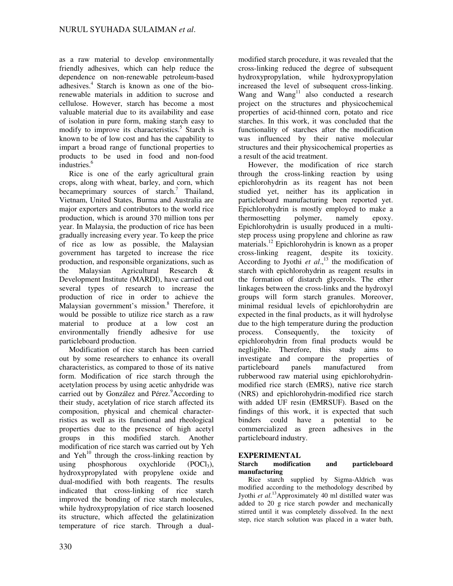as a raw material to develop environmentally friendly adhesives, which can help reduce the dependence on non-renewable petroleum-based adhesives.<sup>4</sup> Starch is known as one of the biorenewable materials in addition to sucrose and cellulose. However, starch has become a most valuable material due to its availability and ease of isolation in pure form, making starch easy to modify to improve its characteristics.<sup>5</sup> Starch is known to be of low cost and has the capability to impart a broad range of functional properties to products to be used in food and non-food industries.<sup>6</sup>

Rice is one of the early agricultural grain crops, along with wheat, barley, and corn, which becameprimary sources of starch.<sup>7</sup> Thailand, Vietnam, United States, Burma and Australia are major exporters and contributors to the world rice production, which is around 370 million tons per year. In Malaysia, the production of rice has been gradually increasing every year. To keep the price of rice as low as possible, the Malaysian government has targeted to increase the rice production, and responsible organizations, such as the Malaysian Agricultural Research & Development Institute (MARDI), have carried out several types of research to increase the production of rice in order to achieve the Malaysian government's mission.<sup>8</sup> Therefore, it would be possible to utilize rice starch as a raw material to produce at a low cost an environmentally friendly adhesive for use particleboard production.

Modification of rice starch has been carried out by some researchers to enhance its overall characteristics, as compared to those of its native form. Modification of rice starch through the acetylation process by using acetic anhydride was carried out by González and Pérez.<sup>9</sup>According to their study, acetylation of rice starch affected its composition, physical and chemical characterristics as well as its functional and rheological properties due to the presence of high acetyl groups in this modified starch. Another modification of rice starch was carried out by Yeh and  $Yeh^{10}$  through the cross-linking reaction by using phosphorous oxychloride  $(POC1<sub>3</sub>)$ , hydroxypropylated with propylene oxide and dual-modified with both reagents. The results indicated that cross-linking of rice starch improved the bonding of rice starch molecules, while hydroxypropylation of rice starch loosened its structure, which affected the gelatinization temperature of rice starch. Through a dual-

modified starch procedure, it was revealed that the cross-linking reduced the degree of subsequent hydroxypropylation, while hydroxypropylation increased the level of subsequent cross-linking. Wang and  $Wang<sup>11</sup>$  also conducted a research project on the structures and physicochemical properties of acid-thinned corn, potato and rice starches. In this work, it was concluded that the functionality of starches after the modification was influenced by their native molecular structures and their physicochemical properties as a result of the acid treatment.

However, the modification of rice starch through the cross-linking reaction by using epichlorohydrin as its reagent has not been studied yet, neither has its application in particleboard manufacturing been reported yet. Epichlorohydrin is mostly employed to make a thermosetting polymer, namely epoxy. Epichlorohydrin is usually produced in a multistep process using propylene and chlorine as raw materials.<sup>12</sup> Epichlorohydrin is known as a proper cross-linking reagent, despite its toxicity. According to Jyothi *et al*., <sup>13</sup> the modification of starch with epichlorohydrin as reagent results in the formation of distarch glycerols. The ether linkages between the cross-links and the hydroxyl groups will form starch granules. Moreover, minimal residual levels of epichlorohydrin are expected in the final products, as it will hydrolyse due to the high temperature during the production process. Consequently, the toxicity of epichlorohydrin from final products would be negligible. Therefore, this study aims to investigate and compare the properties of particleboard panels manufactured from rubberwood raw material using epichlorohydrinmodified rice starch (EMRS), native rice starch (NRS) and epichlorohydrin-modified rice starch with added UF resin (EMRSUF). Based on the findings of this work, it is expected that such binders could have a potential to be commercialized as green adhesives in the particleboard industry.

#### **EXPERIMENTAL**<br>Starch modification **Starch modification and particleboard manufacturing**

Rice starch supplied by Sigma-Aldrich was modified according to the methodology described by Jyothi *et al*. <sup>13</sup>Approximately 40 ml distilled water was added to 20 g rice starch powder and mechanically stirred until it was completely dissolved. In the next step, rice starch solution was placed in a water bath,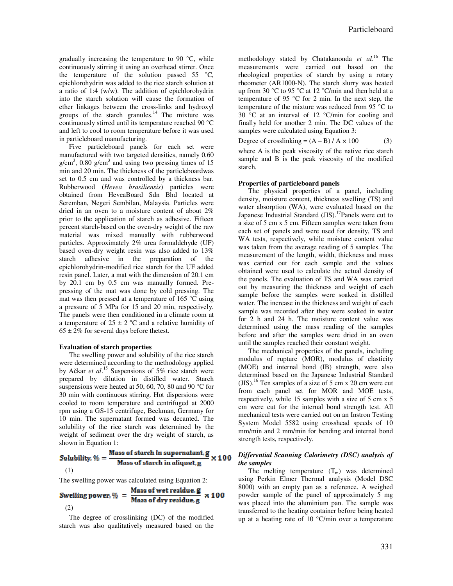gradually increasing the temperature to 90 °C, while continuously stirring it using an overhead stirrer. Once the temperature of the solution passed  $55 \text{ °C}$ , epichlorohydrin was added to the rice starch solution at a ratio of 1:4 (w/w). The addition of epichlorohydrin into the starch solution will cause the formation of ether linkages between the cross-links and hydroxyl groups of the starch granules.<sup>14</sup> The mixture was continuously stirred until its temperature reached 90 °C and left to cool to room temperature before it was used in particleboard manufacturing.

Five particleboard panels for each set were manufactured with two targeted densities, namely 0.60  $g/cm<sup>3</sup>$ , 0.80  $g/cm<sup>3</sup>$  and using two pressing times of 15 min and 20 min. The thickness of the particleboardwas set to 0.5 cm and was controlled by a thickness bar. Rubberwood (*Hevea brasiliensis*) particles were obtained from HeveaBoard Sdn Bhd located at Seremban, Negeri Sembilan, Malaysia. Particles were dried in an oven to a moisture content of about 2% prior to the application of starch as adhesive. Fifteen percent starch-based on the oven-dry weight of the raw material was mixed manually with rubberwood particles. Approximately 2% urea formaldehyde (UF) based oven-dry weight resin was also added to 13% starch adhesive in the preparation of the epichlorohydrin-modified rice starch for the UF added resin panel. Later, a mat with the dimension of 20.1 cm by 20.1 cm by 0.5 cm was manually formed. Prepressing of the mat was done by cold pressing. The mat was then pressed at a temperature of 165 °C using a pressure of 5 MPa for 15 and 20 min, respectively. The panels were then conditioned in a climate room at a temperature of  $25 \pm 2$  °C and a relative humidity of  $65 \pm 2\%$  for several days before the test.

#### **Evaluation of starch properties**

The swelling power and solubility of the rice starch were determined according to the methodology applied by Ačkar *et al*. <sup>15</sup> Suspensions of 5% rice starch were prepared by dilution in distilled water. Starch suspensions were heated at 50, 60, 70, 80 and 90 °C for 30 min with continuous stirring. Hot dispersions were cooled to room temperature and centrifuged at 2000 rpm using a GS-15 centrifuge, Beckman, Germany for 10 min. The supernatant formed was decanted. The solubility of the rice starch was determined by the weight of sediment over the dry weight of starch, as shown in Equation 1:

Solubility. 
$$
\% = \frac{\text{Mass of starch in supermatant. g}}{\text{Mass of starch in aliquot. g}} \times 10^6
$$

The swelling power was calculated using Equation 2:

Swelling power, 
$$
\% = \frac{\text{Mass of wet residue, g}}{\text{Mass of dry residue, g}} \times 100
$$
  
(2)

The degree of crosslinking (DC) of the modified starch was also qualitatively measured based on the

methodology stated by Chatakanonda et al.<sup>16</sup> The measurements were carried out based on the rheological properties of starch by using a rotary rheometer (AR1000-N). The starch slurry was heated up from 30 °C to 95 °C at 12 °C/min and then held at a temperature of 95  $\degree$ C for 2 min. In the next step, the temperature of the mixture was reduced from 95 °C to 30 °C at an interval of 12 °C/min for cooling and finally held for another 2 min. The DC values of the samples were calculated using Equation 3:

Degree of crosslinking =  $(A - B) / A \times 100$  (3)

where A is the peak viscosity of the native rice starch sample and B is the peak viscosity of the modified starch.

#### **Properties of particleboard panels**

The physical properties of a panel, including density, moisture content, thickness swelling (TS) and water absorption (WA), were evaluated based on the Japanese Industrial Standard (JIS).<sup>17</sup>Panels were cut to a size of 5 cm x 5 cm. Fifteen samples were taken from each set of panels and were used for density, TS and WA tests, respectively, while moisture content value was taken from the average reading of 5 samples. The measurement of the length, width, thickness and mass was carried out for each sample and the values obtained were used to calculate the actual density of the panels. The evaluation of TS and WA was carried out by measuring the thickness and weight of each sample before the samples were soaked in distilled water. The increase in the thickness and weight of each sample was recorded after they were soaked in water for 2 h and 24 h. The moisture content value was determined using the mass reading of the samples before and after the samples were dried in an oven until the samples reached their constant weight.

The mechanical properties of the panels, including modulus of rupture (MOR), modulus of elasticity (MOE) and internal bond (IB) strength, were also determined based on the Japanese Industrial Standard  $(JIS).<sup>16</sup>$  Ten samples of a size of 5 cm x 20 cm were cut from each panel set for MOR and MOE tests, respectively, while 15 samples with a size of 5 cm x 5 cm were cut for the internal bond strength test. All mechanical tests were carried out on an Instron Testing System Model 5582 using crosshead speeds of 10 mm/min and 2 mm/min for bending and internal bond strength tests, respectively.

#### *Differential Scanning Calorimetry (DSC) analysis of the samples*

The melting temperature  $(T_m)$  was determined using Perkin Elmer Thermal analysis (Model DSC 8000) with an empty pan as a reference. A weighed powder sample of the panel of approximately 5 mg was placed into the aluminium pan. The sample was transferred to the heating container before being heated up at a heating rate of  $10^{\circ}$ C/min over a temperature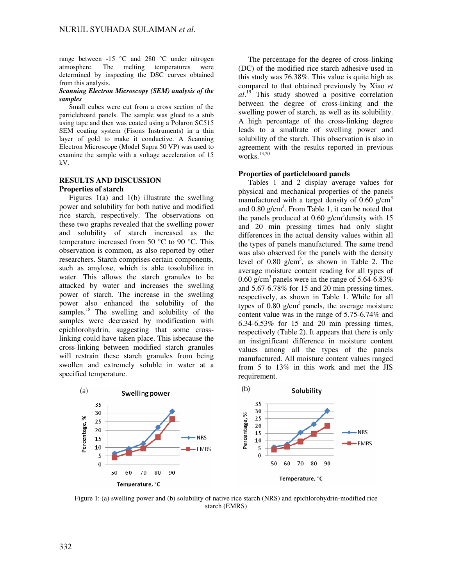range between -15 °C and 280 °C under nitrogen atmosphere. The melting temperatures were determined by inspecting the DSC curves obtained from this analysis.

#### *Scanning Electron Microscopy (SEM) analysis of the samples*

Small cubes were cut from a cross section of the particleboard panels. The sample was glued to a stub using tape and then was coated using a Polaron SC515 SEM coating system (Fisons Instruments) in a thin layer of gold to make it conductive. A Scanning Electron Microscope (Model Supra 50 VP) was used to examine the sample with a voltage acceleration of 15 kV.

#### **RESULTS AND DISCUSSION Properties of starch**

Figures 1(a) and 1(b) illustrate the swelling power and solubility for both native and modified rice starch, respectively. The observations on these two graphs revealed that the swelling power and solubility of starch increased as the temperature increased from 50 °C to 90 °C. This observation is common, as also reported by other researchers. Starch comprises certain components, such as amylose, which is able tosolubilize in water. This allows the starch granules to be attacked by water and increases the swelling power of starch. The increase in the swelling power also enhanced the solubility of the samples. $18$  The swelling and solubility of the samples were decreased by modification with epichlorohydrin, suggesting that some crosslinking could have taken place. This isbecause the cross-linking between modified starch granules will restrain these starch granules from being swollen and extremely soluble in water at a specified temperature.

The percentage for the degree of cross-linking (DC) of the modified rice starch adhesive used in this study was 76.38%. This value is quite high as compared to that obtained previously by Xiao *et al*. <sup>19</sup> This study showed a positive correlation between the degree of cross-linking and the swelling power of starch, as well as its solubility. A high percentage of the cross-linking degree leads to a smallrate of swelling power and solubility of the starch. This observation is also in agreement with the results reported in previous works. $13,20$ 

#### **Properties of particleboard panels**

Tables 1 and 2 display average values for physical and mechanical properties of the panels manufactured with a target density of 0.60 g/cm<sup>3</sup> and  $0.80$  g/cm<sup>3</sup>. From Table 1, it can be noted that the panels produced at  $0.60$  g/cm<sup>3</sup> density with 15 and 20 min pressing times had only slight differences in the actual density values within all the types of panels manufactured. The same trend was also observed for the panels with the density level of  $0.80 \text{ g/cm}^3$ , as shown in Table 2. The average moisture content reading for all types of 0.60 g/cm<sup>3</sup> panels were in the range of  $5.64-6.83\%$ and 5.67-6.78% for 15 and 20 min pressing times, respectively, as shown in Table 1. While for all types of 0.80  $g/cm<sup>3</sup>$  panels, the average moisture content value was in the range of 5.75-6.74% and 6.34-6.53% for 15 and 20 min pressing times, respectively (Table 2). It appears that there is only an insignificant difference in moisture content values among all the types of the panels manufactured. All moisture content values ranged from 5 to 13% in this work and met the JIS requirement.



Figure 1: (a) swelling power and (b) solubility of native rice starch (NRS) and epichlorohydrin-modified rice starch (EMRS)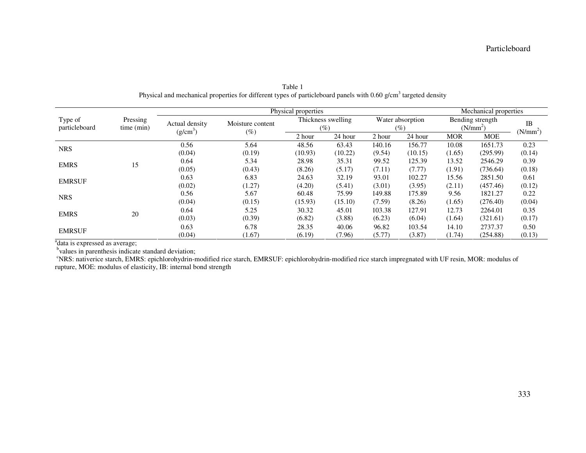|                          | Pressing<br>time (min) | Physical properties          |                            |                              |         |                            |         | Mechanical properties                    |            |                      |
|--------------------------|------------------------|------------------------------|----------------------------|------------------------------|---------|----------------------------|---------|------------------------------------------|------------|----------------------|
| Type of<br>particleboard |                        | Actual density<br>$(g/cm^3)$ | Moisture content<br>$(\%)$ | Thickness swelling<br>$(\%)$ |         | Water absorption<br>$(\%)$ |         | Bending strength<br>(N/mm <sup>2</sup> ) |            | IB                   |
|                          |                        |                              |                            | 2 hour                       | 24 hour | 2 hour                     | 24 hour | <b>MOR</b>                               | <b>MOE</b> | (N/mm <sup>2</sup> ) |
| <b>NRS</b>               | 15                     | 0.56                         | 5.64                       | 48.56                        | 63.43   | 140.16                     | 156.77  | 10.08                                    | 1651.73    | 0.23                 |
|                          |                        | (0.04)                       | (0.19)                     | (10.93)                      | (10.22) | (9.54)                     | (10.15) | (1.65)                                   | (295.99)   | (0.14)               |
| <b>EMRS</b>              |                        | 0.64                         | 5.34                       | 28.98                        | 35.31   | 99.52                      | 125.39  | 13.52                                    | 2546.29    | 0.39                 |
|                          |                        | (0.05)                       | (0.43)                     | (8.26)                       | (5.17)  | (7.11)                     | (7.77)  | (1.91)                                   | (736.64)   | (0.18)               |
| <b>EMRSUF</b>            |                        | 0.63                         | 6.83                       | 24.63                        | 32.19   | 93.01                      | 102.27  | 15.56                                    | 2851.50    | 0.61                 |
|                          |                        | (0.02)                       | (1.27)                     | (4.20)                       | (5.41)  | (3.01)                     | (3.95)  | (2.11)                                   | (457.46)   | (0.12)               |
| <b>NRS</b>               |                        | 0.56                         | 5.67                       | 60.48                        | 75.99   | 149.88                     | 175.89  | 9.56                                     | 1821.27    | 0.22                 |
|                          | 20                     | (0.04)                       | (0.15)                     | (15.93)                      | (15.10) | (7.59)                     | (8.26)  | (1.65)                                   | (276.40)   | (0.04)               |
| <b>EMRS</b>              |                        | 0.64                         | 5.25                       | 30.32                        | 45.01   | 103.38                     | 127.91  | 12.73                                    | 2264.01    | 0.35                 |
|                          |                        | (0.03)                       | (0.39)                     | (6.82)                       | (3.88)  | (6.23)                     | (6.04)  | (1.64)                                   | (321.61)   | (0.17)               |
| <b>EMRSUF</b>            |                        | 0.63                         | 6.78                       | 28.35                        | 40.06   | 96.82                      | 103.54  | 14.10                                    | 2737.37    | 0.50                 |
|                          |                        | (0.04)                       | (1.67)                     | (6.19)                       | (7.96)  | (5.77)                     | (3.87)  | (1.74)                                   | (254.88)   | (0.13)               |

Table 1 Physical and mechanical properties for different types of particleboard panels with 0.60 g/cm<sup>3</sup> targeted density

 $\frac{1.44}{1.44}$  and is expressed as average;<br>  $\frac{1.74}{1.44}$   $\frac{1.74}{1.44}$  (254.88)<br>  $\frac{1.74}{1.44}$   $\frac{1.74}{1.44}$  (254.88)<br>  $\frac{1.74}{1.44}$  (254.88)<br>  $\frac{1.74}{1.44}$  (254.88)<br>  $\frac{1.74}{1.44}$  (254.88)<br>  $\frac{1.74}{1.44$ rupture, MOE: modulus of elasticity, IB: internal bond strength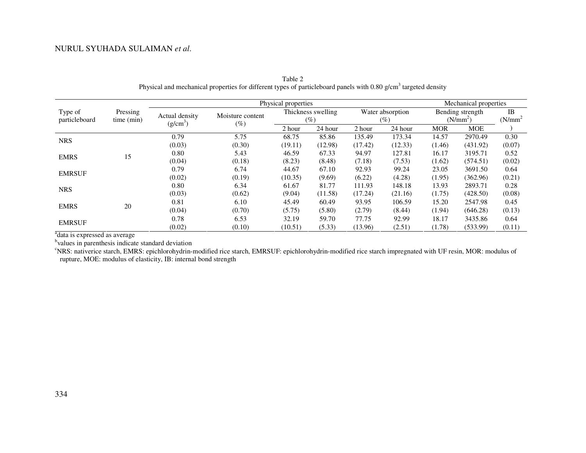# NURUL SYUHADA SULAIMAN *et al*.

|                          |                        |                              | Physical properties        |                              |         |                            |         |                                          | Mechanical properties |                  |  |
|--------------------------|------------------------|------------------------------|----------------------------|------------------------------|---------|----------------------------|---------|------------------------------------------|-----------------------|------------------|--|
| Type of<br>particleboard | Pressing<br>time (min) | Actual density<br>$(g/cm^3)$ | Moisture content<br>$(\%)$ | Thickness swelling<br>$(\%)$ |         | Water absorption<br>$(\%)$ |         | Bending strength<br>(N/mm <sup>2</sup> ) |                       | IB<br>$(N/mm^2)$ |  |
|                          |                        |                              |                            | 2 hour                       | 24 hour | 2 hour                     | 24 hour | <b>MOR</b>                               | <b>MOE</b>            |                  |  |
| <b>NRS</b>               |                        | 0.79                         | 5.75                       | 68.75                        | 85.86   | 135.49                     | 173.34  | 14.57                                    | 2970.49               | 0.30             |  |
|                          |                        | (0.03)                       | (0.30)                     | (19.11)                      | (12.98) | (17.42)                    | (12.33) | (1.46)                                   | (431.92)              | (0.07)           |  |
| <b>EMRS</b>              | 15                     | 0.80                         | 5.43                       | 46.59                        | 67.33   | 94.97                      | 127.81  | 16.17                                    | 3195.71               | 0.52             |  |
|                          |                        | (0.04)                       | (0.18)                     | (8.23)                       | (8.48)  | (7.18)                     | (7.53)  | (1.62)                                   | (574.51)              | (0.02)           |  |
| <b>EMRSUF</b>            |                        | 0.79                         | 6.74                       | 44.67                        | 67.10   | 92.93                      | 99.24   | 23.05                                    | 3691.50               | 0.64             |  |
|                          |                        | (0.02)                       | (0.19)                     | (10.35)                      | (9.69)  | (6.22)                     | (4.28)  | (1.95)                                   | (362.96)              | (0.21)           |  |
| <b>NRS</b>               |                        | 0.80                         | 6.34                       | 61.67                        | 81.77   | 111.93                     | 148.18  | 13.93                                    | 2893.71               | 0.28             |  |
|                          |                        | (0.03)                       | (0.62)                     | (9.04)                       | (11.58) | (17.24)                    | (21.16) | (1.75)                                   | (428.50)              | (0.08)           |  |
| <b>EMRS</b>              | 20                     | 0.81                         | 6.10                       | 45.49                        | 60.49   | 93.95                      | 106.59  | 15.20                                    | 2547.98               | 0.45             |  |
|                          |                        | (0.04)                       | (0.70)                     | (5.75)                       | (5.80)  | (2.79)                     | (8.44)  | (1.94)                                   | (646.28)              | (0.13)           |  |
| <b>EMRSUF</b>            |                        | 0.78                         | 6.53                       | 32.19                        | 59.70   | 77.75                      | 92.99   | 18.17                                    | 3435.86               | 0.64             |  |
|                          |                        | (0.02)                       | (0.10)                     | (10.51)                      | (5.33)  | (13.96)                    | (2.51)  | (1.78)                                   | (533.99)              | (0.11)           |  |

Table 2 Physical and mechanical properties for different types of particleboard panels with 0.80 g/cm<sup>3</sup> targeted density

<sup>a</sup>data is expressed as average

<sup>b</sup>values in parenthesis indicate standard deviation

cNRS: nativerice starch, EMRS: epichlorohydrin-modified rice starch, EMRSUF: epichlorohydrin-modified rice starch impregnated with UF resin, MOR: modulus of rupture, MOE: modulus of elasticity, IB: internal bond strength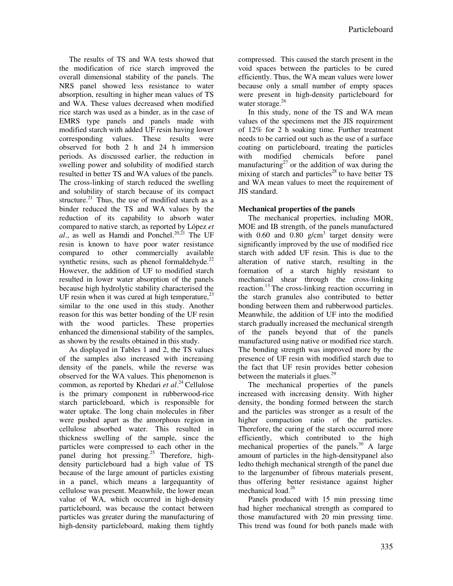The results of TS and WA tests showed that the modification of rice starch improved the overall dimensional stability of the panels. The NRS panel showed less resistance to water absorption, resulting in higher mean values of TS and WA. These values decreased when modified rice starch was used as a binder, as in the case of EMRS type panels and panels made with modified starch with added UF resin having lower corresponding values. These results were observed for both 2 h and 24 h immersion periods. As discussed earlier, the reduction in swelling power and solubility of modified starch resulted in better TS and WA values of the panels. The cross-linking of starch reduced the swelling and solubility of starch because of its compact structure. $^{21}$  Thus, the use of modified starch as a binder reduced the TS and WA values by the reduction of its capability to absorb water compared to native starch, as reported by López *et al.*, as well as Hamdi and Ponchel.<sup>20,21</sup> The UF resin is known to have poor water resistance compared to other commercially available synthetic resins, such as phenol formaldehyde. $^{22}$ However, the addition of UF to modified starch resulted in lower water absorption of the panels because high hydrolytic stability characterised the UF resin when it was cured at high temperature, $2<sup>2</sup>$ similar to the one used in this study. Another reason for this was better bonding of the UF resin with the wood particles. These properties enhanced the dimensional stability of the samples, as shown by the results obtained in this study.

As displayed in Tables 1 and 2, the TS values of the samples also increased with increasing density of the panels, while the reverse was observed for the WA values. This phenomenon is common, as reported by Khedari *et al.*<sup>24</sup> Cellulose is the primary component in rubberwood-rice starch particleboard, which is responsible for water uptake. The long chain molecules in fiber were pushed apart as the amorphous region in cellulose absorbed water. This resulted in thickness swelling of the sample, since the particles were compressed to each other in the panel during hot pressing.<sup>25</sup> Therefore, highdensity particleboard had a high value of TS because of the large amount of particles existing in a panel, which means a largequantity of cellulose was present. Meanwhile, the lower mean value of WA, which occurred in high-density particleboard, was because the contact between particles was greater during the manufacturing of high-density particleboard, making them tightly

compressed. This caused the starch present in the void spaces between the particles to be cured efficiently. Thus, the WA mean values were lower because only a small number of empty spaces were present in high-density particleboard for water storage.<sup>26</sup>

In this study, none of the TS and WA mean values of the specimens met the JIS requirement of 12% for 2 h soaking time. Further treatment needs to be carried out such as the use of a surface coating on particleboard, treating the particles with modified chemicals before panel manufacturing<sup>27</sup> or the addition of wax during the mixing of starch and particles<sup>28</sup> to have better  $TS$ and WA mean values to meet the requirement of JIS standard.

# **Mechanical properties of the panels**

The mechanical properties, including MOR, MOE and IB strength, of the panels manufactured with  $0.60$  and  $0.80$  g/cm<sup>3</sup> target density were significantly improved by the use of modified rice starch with added UF resin. This is due to the alteration of native starch, resulting in the formation of a starch highly resistant to mechanical shear through the cross-linking reaction.<sup>13</sup> The cross-linking reaction occurring in the starch granules also contributed to better bonding between them and rubberwood particles. Meanwhile, the addition of UF into the modified starch gradually increased the mechanical strength of the panels beyond that of the panels manufactured using native or modified rice starch. The bonding strength was improved more by the presence of UF resin with modified starch due to the fact that UF resin provides better cohesion between the materials it glues. $^{29}$ 

The mechanical properties of the panels increased with increasing density. With higher density, the bonding formed between the starch and the particles was stronger as a result of the higher compaction ratio of the particles. Therefore, the curing of the starch occurred more efficiently, which contributed to the high mechanical properties of the panels. $30$  A large amount of particles in the high-densitypanel also ledto thehigh mechanical strength of the panel due to the largenumber of fibrous materials present, thus offering better resistance against higher mechanical load.<sup>26</sup>

Panels produced with 15 min pressing time had higher mechanical strength as compared to those manufactured with 20 min pressing time. This trend was found for both panels made with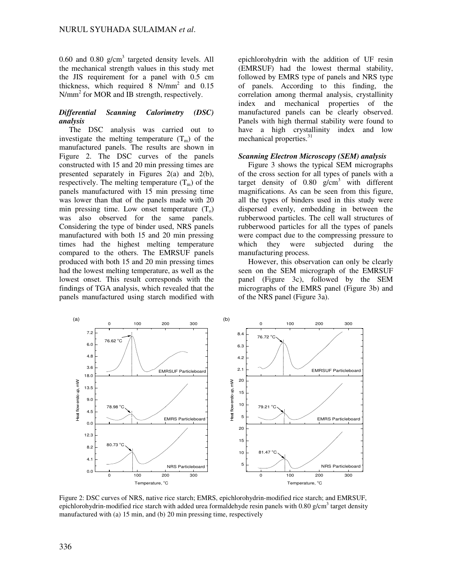$0.60$  and  $0.80$  g/cm<sup>3</sup> targeted density levels. All the mechanical strength values in this study met the JIS requirement for a panel with 0.5 cm thickness, which required  $\overline{8}$  N/mm<sup>2</sup> and 0.15 N/mm<sup>2</sup> for MOR and IB strength, respectively.

### *Differential Scanning Calorimetry (DSC) analysis*

The DSC analysis was carried out to investigate the melting temperature  $(T_m)$  of the manufactured panels. The results are shown in Figure 2. The DSC curves of the panels constructed with 15 and 20 min pressing times are presented separately in Figures 2(a) and 2(b), respectively. The melting temperature  $(T_m)$  of the panels manufactured with 15 min pressing time was lower than that of the panels made with 20 min pressing time. Low onset temperature  $(T_0)$ was also observed for the same panels. Considering the type of binder used, NRS panels manufactured with both 15 and 20 min pressing times had the highest melting temperature compared to the others. The EMRSUF panels produced with both 15 and 20 min pressing times had the lowest melting temperature, as well as the lowest onset. This result corresponds with the findings of TGA analysis, which revealed that the panels manufactured using starch modified with

epichlorohydrin with the addition of UF resin (EMRSUF) had the lowest thermal stability, followed by EMRS type of panels and NRS type of panels. According to this finding, the correlation among thermal analysis, crystallinity index and mechanical properties of the manufactured panels can be clearly observed. Panels with high thermal stability were found to have a high crystallinity index and low mechanical properties.<sup>31</sup>

#### *Scanning Electron Microscopy (SEM) analysis*

Figure 3 shows the typical SEM micrographs of the cross section for all types of panels with a target density of  $0.80$  g/cm<sup>3</sup> with different magnifications. As can be seen from this figure, all the types of binders used in this study were dispersed evenly, embedding in between the rubberwood particles. The cell wall structures of rubberwood particles for all the types of panels were compact due to the compressing pressure to which they were subjected during the manufacturing process.

However, this observation can only be clearly seen on the SEM micrograph of the EMRSUF panel (Figure 3c), followed by the SEM micrographs of the EMRS panel (Figure 3b) and of the NRS panel (Figure 3a).



Figure 2: DSC curves of NRS, native rice starch; EMRS, epichlorohydrin-modified rice starch; and EMRSUF, epichlorohydrin-modified rice starch with added urea formaldehyde resin panels with  $0.80$  g/cm<sup>3</sup> target density manufactured with (a) 15 min, and (b) 20 min pressing time, respectively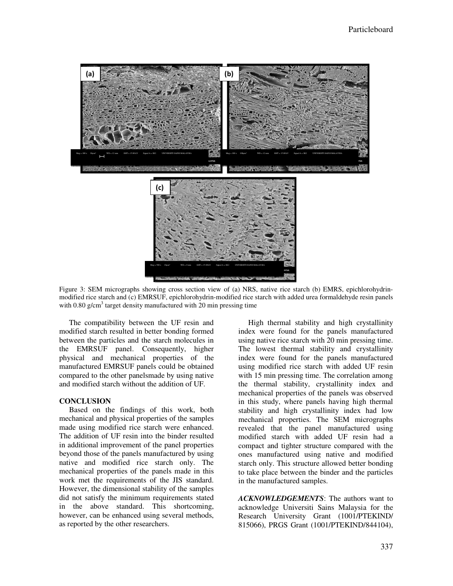

Figure 3: SEM micrographs showing cross section view of (a) NRS, native rice starch (b) EMRS, epichlorohydrinmodified rice starch and (c) EMRSUF, epichlorohydrin-modified rice starch with added urea formaldehyde resin panels with  $0.80$  g/cm<sup>3</sup> target density manufactured with  $20$  min pressing time

The compatibility between the UF resin and modified starch resulted in better bonding formed between the particles and the starch molecules in the EMRSUF panel. Consequently, higher physical and mechanical properties of the manufactured EMRSUF panels could be obtained compared to the other panelsmade by using native and modified starch without the addition of UF.

### **CONCLUSION**

Based on the findings of this work, both mechanical and physical properties of the samples made using modified rice starch were enhanced. The addition of UF resin into the binder resulted in additional improvement of the panel properties beyond those of the panels manufactured by using native and modified rice starch only. The mechanical properties of the panels made in this work met the requirements of the JIS standard. However, the dimensional stability of the samples did not satisfy the minimum requirements stated in the above standard. This shortcoming, however, can be enhanced using several methods, as reported by the other researchers.

High thermal stability and high crystallinity index were found for the panels manufactured using native rice starch with 20 min pressing time. The lowest thermal stability and crystallinity index were found for the panels manufactured using modified rice starch with added UF resin with 15 min pressing time. The correlation among the thermal stability, crystallinity index and mechanical properties of the panels was observed in this study, where panels having high thermal stability and high crystallinity index had low mechanical properties. The SEM micrographs revealed that the panel manufactured using modified starch with added UF resin had a compact and tighter structure compared with the ones manufactured using native and modified starch only. This structure allowed better bonding to take place between the binder and the particles in the manufactured samples.

*ACKNOWLEDGEMENTS*: The authors want to acknowledge Universiti Sains Malaysia for the Research University Grant (1001/PTEKIND/ 815066), PRGS Grant (1001/PTEKIND/844104),